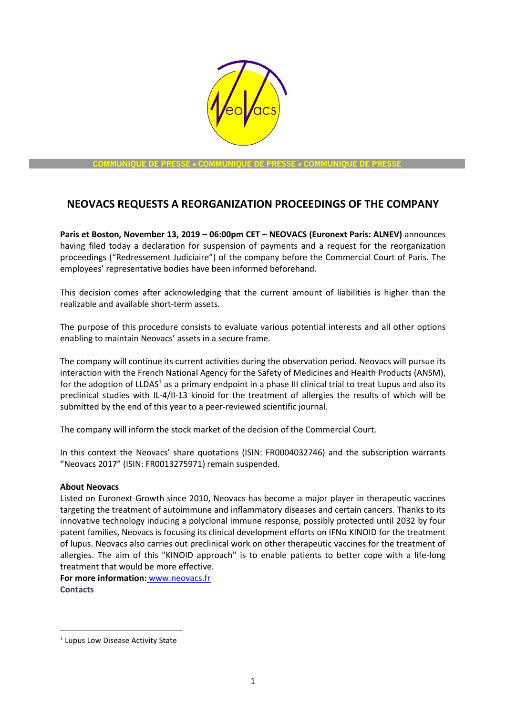

**COMMUNIQUE DE PRESSE** • **COMMUNIQUE DE PRESSE** • **COMMUNIQUE DE PRESSE**

## **NEOVACS REQUESTS A REORGANIZATION PROCEEDINGS OF THE COMPANY**

**Paris et Boston, November 13, 2019 – 06:00pm CET – NEOVACS (Euronext Paris: ALNEV)** announces having filed today a declaration for suspension of payments and a request for the reorganization proceedings ("Redressement Judiciaire") of the company before the Commercial Court of Paris. The employees' representative bodies have been informed beforehand.

This decision comes after acknowledging that the current amount of liabilities is higher than the realizable and available short-term assets.

The purpose of this procedure consists to evaluate various potential interests and all other options enabling to maintain Neovacs' assets in a secure frame.

The company will continue its current activities during the observation period. Neovacs will pursue its interaction with the French National Agency for the Safety of Medicines and Health Products (ANSM), for the adoption of LLDAS<sup>1</sup> as a primary endpoint in a phase III clinical trial to treat Lupus and also its preclinical studies with IL-4/Il-13 kinoid for the treatment of allergies the results of which will be submitted by the end of this year to a peer-reviewed scientific journal.

The company will inform the stock market of the decision of the Commercial Court.

In this context the Neovacs' share quotations (ISIN: FR0004032746) and the subscription warrants "Neovacs 2017" (ISIN: FR0013275971) remain suspended.

## **About Neovacs**

Listed on Euronext Growth since 2010, Neovacs has become a major player in therapeutic vaccines targeting the treatment of autoimmune and inflammatory diseases and certain cancers. Thanks to its innovative technology inducing a polyclonal immune response, possibly protected until 2032 by four patent families, Neovacs is focusing its clinical development efforts on IFN $\alpha$  KINOID for the treatment of lupus. Neovacs also carries out preclinical work on other therapeutic vaccines for the treatment of allergies. The aim of this "KINOID approach" is to enable patients to better cope with a life-long treatment that would be more effective.

**For more information:** [www.neovacs.fr](http://www.neovacs.fr/)  **Contacts** 

<sup>&</sup>lt;sup>1</sup> Lupus Low Disease Activity State